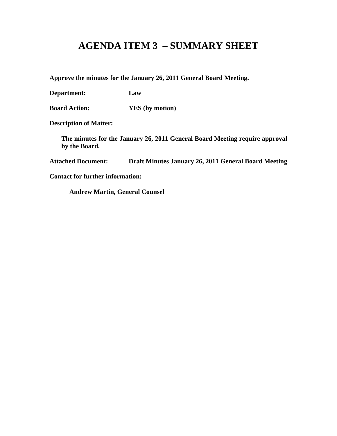# **AGENDA ITEM 3 – SUMMARY SHEET**

**Approve the minutes for the January 26, 2011 General Board Meeting.**

**Department: Law**

**Board Action: YES (by motion)**

**Description of Matter:**

**The minutes for the January 26, 2011 General Board Meeting require approval by the Board.**

**Attached Document: Draft Minutes January 26, 2011 General Board Meeting**

**Contact for further information:**

**Andrew Martin, General Counsel**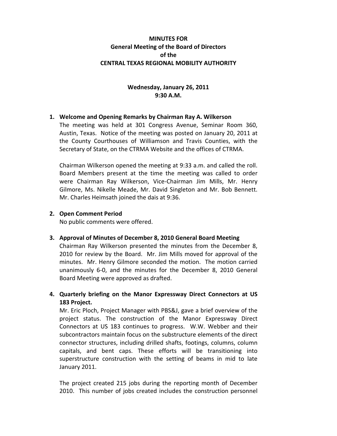## **MINUTES FOR General Meeting of the Board of Directors of the CENTRAL TEXAS REGIONAL MOBILITY AUTHORITY**

## **Wednesday, January 26, 2011 9:30 A.M.**

## **1. Welcome and Opening Remarks by Chairman Ray A. Wilkerson**

The meeting was held at 301 Congress Avenue, Seminar Room 360, Austin, Texas. Notice of the meeting was posted on January 20, 2011 at the County Courthouses of Williamson and Travis Counties, with the Secretary of State, on the CTRMA Website and the offices of CTRMA.

Chairman Wilkerson opened the meeting at 9:33 a.m. and called the roll. Board Members present at the time the meeting was called to order were Chairman Ray Wilkerson, Vice-Chairman Jim Mills, Mr. Henry Gilmore, Ms. Nikelle Meade, Mr. David Singleton and Mr. Bob Bennett. Mr. Charles Heimsath joined the dais at 9:36.

## **2. Open Comment Period**

No public comments were offered.

# **3. Approval of Minutes of December 8, 2010 General Board Meeting**

Chairman Ray Wilkerson presented the minutes from the December 8, 2010 for review by the Board. Mr. Jim Mills moved for approval of the minutes. Mr. Henry Gilmore seconded the motion. The motion carried unanimously 6-0, and the minutes for the December 8, 2010 General Board Meeting were approved as drafted.

# **4. Quarterly briefing on the Manor Expressway Direct Connectors at US 183 Project.**

Mr. Eric Ploch, Project Manager with PBS&J, gave a brief overview of the project status. The construction of the Manor Expressway Direct Connectors at US 183 continues to progress. W.W. Webber and their subcontractors maintain focus on the substructure elements of the direct connector structures, including drilled shafts, footings, columns, column capitals, and bent caps. These efforts will be transitioning into superstructure construction with the setting of beams in mid to late January 2011.

The project created 215 jobs during the reporting month of December 2010. This number of jobs created includes the construction personnel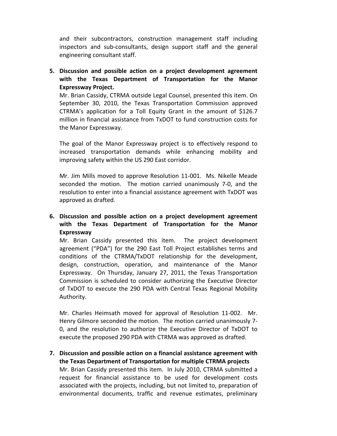and their subcontractors, construction management staff including inspectors and sub-consultants, design support staff and the general engineering consultant staff.

**5. Discussion and possible action on a project development agreement with the Texas Department of Transportation for the Manor Expressway Project.**

Mr. Brian Cassidy, CTRMA outside Legal Counsel, presented this item. On September 30, 2010, the Texas Transportation Commission approved CTRMA's application for a Toll Equity Grant in the amount of \$126.7 million in financial assistance from TxDOT to fund construction costs for the Manor Expressway.

The goal of the Manor Expressway project is to effectively respond to increased transportation demands while enhancing mobility and improving safety within the US 290 East corridor.

Mr. Jim Mills moved to approve Resolution 11-001. Ms. Nikelle Meade seconded the motion. The motion carried unanimously 7-0, and the resolution to enter into a financial assistance agreement with TxDOT was approved as drafted.

**6. Discussion and possible action on a project development agreement with the Texas Department of Transportation for the Manor Expressway**

Mr. Brian Cassidy presented this item. The project development agreement ("PDA") for the 290 East Toll Project establishes terms and conditions of the CTRMA/TxDOT relationship for the development, design, construction, operation, and maintenance of the Manor Expressway. On Thursday, January 27, 2011, the Texas Transportation Commission is scheduled to consider authorizing the Executive Director of TxDOT to execute the 290 PDA with Central Texas Regional Mobility Authority.

Mr. Charles Heimsath moved for approval of Resolution 11-002. Mr. Henry Gilmore seconded the motion. The motion carried unanimously 7- 0, and the resolution to authorize the Executive Director of TxDOT to execute the proposed 290 PDA with CTRMA was approved as drafted.

**7. Discussion and possible action on a financial assistance agreement with the Texas Department of Transportation for multiple CTRMA projects** Mr. Brian Cassidy presented this item. In July 2010, CTRMA submitted a request for financial assistance to be used for development costs associated with the projects, including, but not limited to, preparation of environmental documents, traffic and revenue estimates, preliminary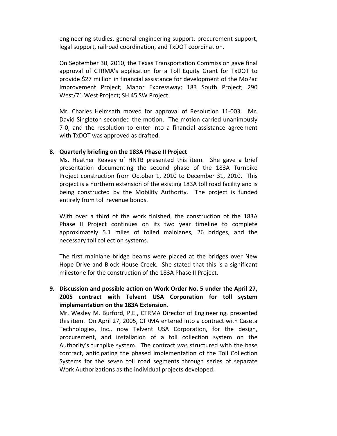engineering studies, general engineering support, procurement support, legal support, railroad coordination, and TxDOT coordination.

On September 30, 2010, the Texas Transportation Commission gave final approval of CTRMA's application for a Toll Equity Grant for TxDOT to provide \$27 million in financial assistance for development of the MoPac Improvement Project; Manor Expressway; 183 South Project; 290 West/71 West Project; SH 45 SW Project.

Mr. Charles Heimsath moved for approval of Resolution 11-003. Mr. David Singleton seconded the motion. The motion carried unanimously 7-0, and the resolution to enter into a financial assistance agreement with TxDOT was approved as drafted.

#### **8. Quarterly briefing on the 183A Phase II Project**

Ms. Heather Reavey of HNTB presented this item. She gave a brief presentation documenting the second phase of the 183A Turnpike Project construction from October 1, 2010 to December 31, 2010. This project is a northern extension of the existing 183A toll road facility and is being constructed by the Mobility Authority. The project is funded entirely from toll revenue bonds.

With over a third of the work finished, the construction of the 183A Phase II Project continues on its two year timeline to complete approximately 5.1 miles of tolled mainlanes, 26 bridges, and the necessary toll collection systems.

The first mainlane bridge beams were placed at the bridges over New Hope Drive and Block House Creek. She stated that this is a significant milestone for the construction of the 183A Phase II Project.

# **9. Discussion and possible action on Work Order No. 5 under the April 27, 2005 contract with Telvent USA Corporation for toll system implementation on the 183A Extension.**

Mr. Wesley M. Burford, P.E., CTRMA Director of Engineering, presented this item. On April 27, 2005, CTRMA entered into a contract with Caseta Technologies, Inc., now Telvent USA Corporation, for the design, procurement, and installation of a toll collection system on the Authority's turnpike system. The contract was structured with the base contract, anticipating the phased implementation of the Toll Collection Systems for the seven toll road segments through series of separate Work Authorizations as the individual projects developed.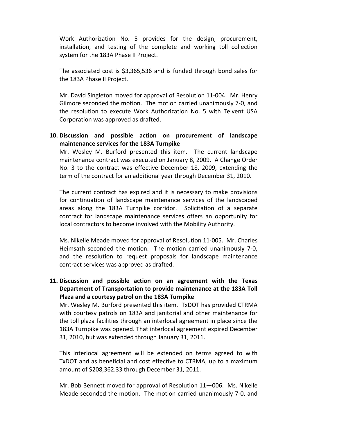Work Authorization No. 5 provides for the design, procurement, installation, and testing of the complete and working toll collection system for the 183A Phase II Project.

The associated cost is \$3,365,536 and is funded through bond sales for the 183A Phase II Project.

Mr. David Singleton moved for approval of Resolution 11-004. Mr. Henry Gilmore seconded the motion. The motion carried unanimously 7-0, and the resolution to execute Work Authorization No. 5 with Telvent USA Corporation was approved as drafted.

## **10. Discussion and possible action on procurement of landscape maintenance services for the 183A Turnpike**

Mr. Wesley M. Burford presented this item. The current landscape maintenance contract was executed on January 8, 2009. A Change Order No. 3 to the contract was effective December 18, 2009, extending the term of the contract for an additional year through December 31, 2010.

The current contract has expired and it is necessary to make provisions for continuation of landscape maintenance services of the landscaped areas along the 183A Turnpike corridor. Solicitation of a separate contract for landscape maintenance services offers an opportunity for local contractors to become involved with the Mobility Authority.

Ms. Nikelle Meade moved for approval of Resolution 11-005. Mr. Charles Heimsath seconded the motion. The motion carried unanimously 7-0, and the resolution to request proposals for landscape maintenance contract services was approved as drafted.

# **11. Discussion and possible action on an agreement with the Texas Department of Transportation to provide maintenance at the 183A Toll Plaza and a courtesy patrol on the 183A Turnpike**

Mr. Wesley M. Burford presented this item. TxDOT has provided CTRMA with courtesy patrols on 183A and janitorial and other maintenance for the toll plaza facilities through an interlocal agreement in place since the 183A Turnpike was opened. That interlocal agreement expired December 31, 2010, but was extended through January 31, 2011.

This interlocal agreement will be extended on terms agreed to with TxDOT and as beneficial and cost effective to CTRMA, up to a maximum amount of \$208,362.33 through December 31, 2011.

Mr. Bob Bennett moved for approval of Resolution 11—006. Ms. Nikelle Meade seconded the motion. The motion carried unanimously 7-0, and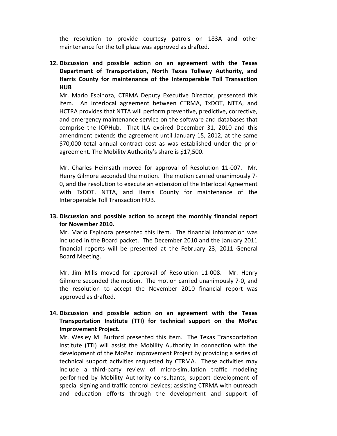the resolution to provide courtesy patrols on 183A and other maintenance for the toll plaza was approved as drafted.

# **12. Discussion and possible action on an agreement with the Texas Department of Transportation, North Texas Tollway Authority, and Harris County for maintenance of the Interoperable Toll Transaction HUB**

Mr. Mario Espinoza, CTRMA Deputy Executive Director, presented this item. An interlocal agreement between CTRMA, TxDOT, NTTA, and HCTRA provides that NTTA will perform preventive, predictive, corrective, and emergency maintenance service on the software and databases that comprise the IOPHub. That ILA expired December 31, 2010 and this amendment extends the agreement until January 15, 2012, at the same \$70,000 total annual contract cost as was established under the prior agreement. The Mobility Authority's share is \$17,500.

Mr. Charles Heimsath moved for approval of Resolution 11-007. Mr. Henry Gilmore seconded the motion. The motion carried unanimously 7- 0, and the resolution to execute an extension of the Interlocal Agreement with TxDOT, NTTA, and Harris County for maintenance of the Interoperable Toll Transaction HUB.

## **13. Discussion and possible action to accept the monthly financial report for November 2010.**

Mr. Mario Espinoza presented this item. The financial information was included in the Board packet. The December 2010 and the January 2011 financial reports will be presented at the February 23, 2011 General Board Meeting.

Mr. Jim Mills moved for approval of Resolution 11-008. Mr. Henry Gilmore seconded the motion. The motion carried unanimously 7-0, and the resolution to accept the November 2010 financial report was approved as drafted.

# **14. Discussion and possible action on an agreement with the Texas Transportation Institute (TTI) for technical support on the MoPac Improvement Project.**

Mr. Wesley M. Burford presented this item. The Texas Transportation Institute (TTI) will assist the Mobility Authority in connection with the development of the MoPac Improvement Project by providing a series of technical support activities requested by CTRMA. These activities may include a third-party review of micro-simulation traffic modeling performed by Mobility Authority consultants; support development of special signing and traffic control devices; assisting CTRMA with outreach and education efforts through the development and support of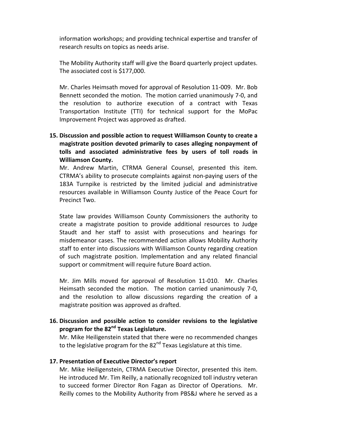information workshops; and providing technical expertise and transfer of research results on topics as needs arise.

The Mobility Authority staff will give the Board quarterly project updates. The associated cost is \$177,000.

Mr. Charles Heimsath moved for approval of Resolution 11-009. Mr. Bob Bennett seconded the motion. The motion carried unanimously 7-0, and the resolution to authorize execution of a contract with Texas Transportation Institute (TTI) for technical support for the MoPac Improvement Project was approved as drafted.

**15. Discussion and possible action to request Williamson County to create a magistrate position devoted primarily to cases alleging nonpayment of tolls and associated administrative fees by users of toll roads in Williamson County.**

Mr. Andrew Martin, CTRMA General Counsel, presented this item. CTRMA's ability to prosecute complaints against non-paying users of the 183A Turnpike is restricted by the limited judicial and administrative resources available in Williamson County Justice of the Peace Court for Precinct Two.

State law provides Williamson County Commissioners the authority to create a magistrate position to provide additional resources to Judge Staudt and her staff to assist with prosecutions and hearings for misdemeanor cases. The recommended action allows Mobility Authority staff to enter into discussions with Williamson County regarding creation of such magistrate position. Implementation and any related financial support or commitment will require future Board action.

Mr. Jim Mills moved for approval of Resolution 11-010. Mr. Charles Heimsath seconded the motion. The motion carried unanimously 7-0, and the resolution to allow discussions regarding the creation of a magistrate position was approved as drafted.

## **16. Discussion and possible action to consider revisions to the legislative program for the 82nd Texas Legislature.**

Mr. Mike Heiligenstein stated that there were no recommended changes to the legislative program for the 82<sup>nd</sup> Texas Legislature at this time.

#### **17. Presentation of Executive Director's report**

Mr. Mike Heiligenstein, CTRMA Executive Director, presented this item. He introduced Mr. Tim Reilly, a nationally recognized toll industry veteran to succeed former Director Ron Fagan as Director of Operations. Mr. Reilly comes to the Mobility Authority from PBS&J where he served as a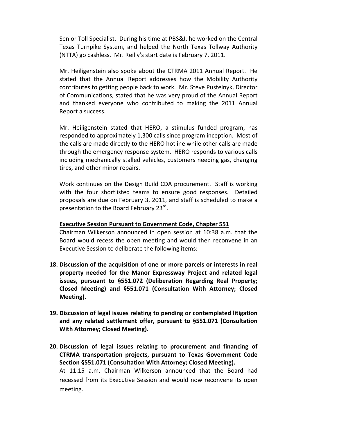Senior Toll Specialist. During his time at PBS&J, he worked on the Central Texas Turnpike System, and helped the North Texas Tollway Authority (NTTA) go cashless. Mr. Reilly's start date is February 7, 2011.

Mr. Heiligenstein also spoke about the CTRMA 2011 Annual Report. He stated that the Annual Report addresses how the Mobility Authority contributes to getting people back to work. Mr. Steve Pustelnyk, Director of Communications, stated that he was very proud of the Annual Report and thanked everyone who contributed to making the 2011 Annual Report a success.

Mr. Heiligenstein stated that HERO, a stimulus funded program, has responded to approximately 1,300 calls since program inception. Most of the calls are made directly to the HERO hotline while other calls are made through the emergency response system. HERO responds to various calls including mechanically stalled vehicles, customers needing gas, changing tires, and other minor repairs.

Work continues on the Design Build CDA procurement. Staff is working with the four shortlisted teams to ensure good responses. Detailed proposals are due on February 3, 2011, and staff is scheduled to make a presentation to the Board February 23<sup>rd</sup>.

#### **Executive Session Pursuant to Government Code, Chapter 551**

Chairman Wilkerson announced in open session at 10:38 a.m. that the Board would recess the open meeting and would then reconvene in an Executive Session to deliberate the following items:

- **18. Discussion of the acquisition of one or more parcels or interests in real property needed for the Manor Expressway Project and related legal issues, pursuant to §551.072 (Deliberation Regarding Real Property; Closed Meeting) and §551.071 (Consultation With Attorney; Closed Meeting).**
- **19. Discussion of legal issues relating to pending or contemplated litigation and any related settlement offer, pursuant to §551.071 (Consultation With Attorney; Closed Meeting).**
- **20. Discussion of legal issues relating to procurement and financing of CTRMA transportation projects, pursuant to Texas Government Code Section §551.071 (Consultation With Attorney; Closed Meeting).** At 11:15 a.m. Chairman Wilkerson announced that the Board had recessed from its Executive Session and would now reconvene its open meeting.